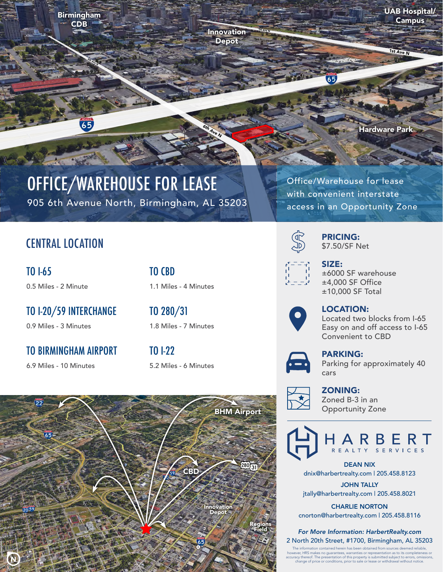Birmingham CDB

**GRANDER** 

65

UAB Hospital/ Campus

1st Ave N

Hardware Park

# OFFICE/WAREHOUSE FOR LEASE

905 6th Avenue North, Birmingham, AL 35203

Office/Warehouse for lease with convenient interstate access in an Opportunity Zone

### CENTRAL LOCATION

TO I-65 0.5 Miles - 2 Minute TO CBD 1.1 Miles - 4 Minutes

Innovation Depot

1st Ave N

6th Ave N

TO I-20/59 INTERCHANGE 0.9 Miles - 3 Minutes

TO BIRMINGHAM AIRPORT

6.9 Miles - 10 Minutes

TO 280/31 1.8 Miles - 7 Minutes

TO I-22 5.2 Miles - 6 Minutes





PRICING: \$7.50/SF Net



SIZE: ±6000 SF warehouse ±4,000 SF Office ±10,000 SF Total



LOCATION:

Located two blocks from I-65 Easy on and off access to I-65 Convenient to CBD



### PARKING:

Parking for approximately 40 cars



ZONING: Zoned B-3 in an Opportunity Zone



DEAN NIX dnix@harbertrealty.com | 205.458.8123

JOHN TALLY jtally@harbertrealty.com | 205.458.8021

CHARLIE NORTON cnorton@harbertrealty.com | 205.458.8116

*For More Information: HarbertRealty.com* 2 North 20th Street, #1700, Birmingham, AL 35203

The information contained herein has been obtained from sources deemed reliable,<br>however, HRS makes no guarantees, warranties or representation as to its completeness or<br>accuracy thereof. The presentation of this property